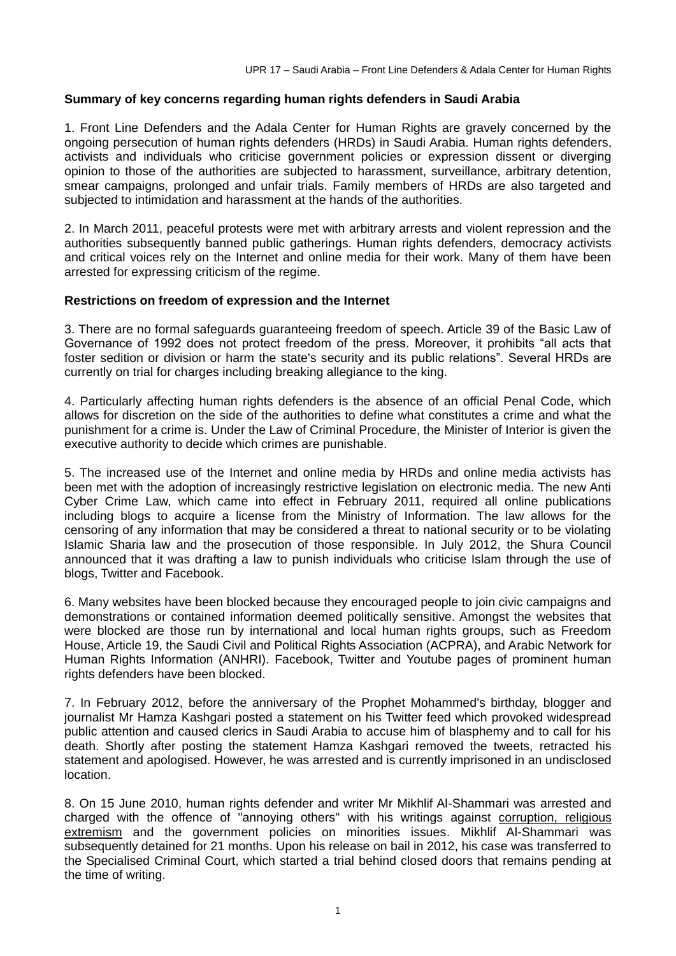## **Summary of key concerns regarding human rights defenders in Saudi Arabia**

1. Front Line Defenders and the Adala Center for Human Rights are gravely concerned by the ongoing persecution of human rights defenders (HRDs) in Saudi Arabia. Human rights defenders, activists and individuals who criticise government policies or expression dissent or diverging opinion to those of the authorities are subjected to harassment, surveillance, arbitrary detention, smear campaigns, prolonged and unfair trials. Family members of HRDs are also targeted and subjected to intimidation and harassment at the hands of the authorities.

2. In March 2011, peaceful protests were met with arbitrary arrests and violent repression and the authorities subsequently banned public gatherings. Human rights defenders, democracy activists and critical voices rely on the Internet and online media for their work. Many of them have been arrested for expressing criticism of the regime.

#### **Restrictions on freedom of expression and the Internet**

3. There are no formal safeguards guaranteeing freedom of speech. Article 39 of the Basic Law of Governance of 1992 does not protect freedom of the press. Moreover, it prohibits "all acts that foster sedition or division or harm the state's security and its public relations". Several HRDs are currently on trial for charges including breaking allegiance to the king.

4. Particularly affecting human rights defenders is the absence of an official Penal Code, which allows for discretion on the side of the authorities to define what constitutes a crime and what the punishment for a crime is. Under the Law of Criminal Procedure, the Minister of Interior is given the executive authority to decide which crimes are punishable.

5. The increased use of the Internet and online media by HRDs and online media activists has been met with the adoption of increasingly restrictive legislation on electronic media. The new Anti Cyber Crime Law, which came into effect in February 2011, required all online publications including blogs to acquire a license from the Ministry of Information. The law allows for the censoring of any information that may be considered a threat to national security or to be violating Islamic Sharia law and the prosecution of those responsible. In July 2012, the Shura Council announced that it was drafting a law to punish individuals who criticise Islam through the use of blogs, Twitter and Facebook.

6. Many websites have been blocked because they encouraged people to join civic campaigns and demonstrations or contained information deemed politically sensitive. Amongst the websites that were blocked are those run by international and local human rights groups, such as Freedom House, Article 19, the Saudi Civil and Political Rights Association (ACPRA), and Arabic Network for Human Rights Information (ANHRI). Facebook, Twitter and Youtube pages of prominent human rights defenders have been blocked.

7. In February 2012, before the anniversary of the Prophet Mohammed's birthday, blogger and journalist Mr Hamza Kashgari posted a statement on his Twitter feed which provoked widespread public attention and caused clerics in Saudi Arabia to accuse him of blasphemy and to call for his death. Shortly after posting the statement Hamza Kashgari removed the tweets, retracted his statement and apologised. However, he was arrested and is currently imprisoned in an undisclosed location.

8. On 15 June 2010, human rights defender and writer Mr Mikhlif Al-Shammari was arrested and charged with the offence of "annoying others" with his writings against corruption, religious extremism and the government policies on minorities issues. Mikhlif Al-Shammari was subsequently detained for 21 months. Upon his release on bail in 2012, his case was transferred to the Specialised Criminal Court, which started a trial behind closed doors that remains pending at the time of writing.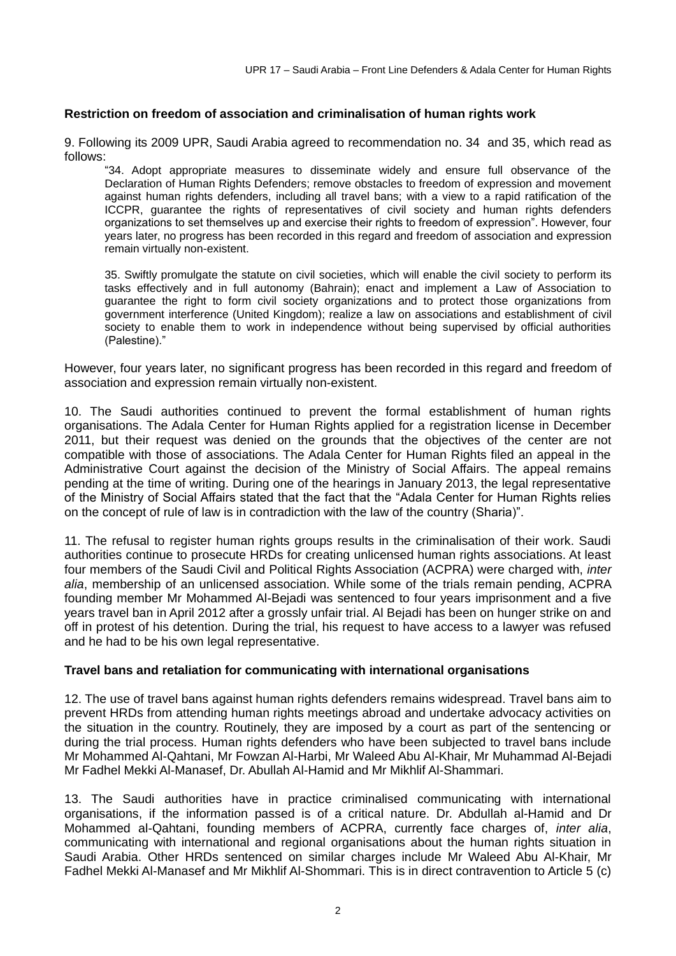# **Restriction on freedom of association and criminalisation of human rights work**

9. Following its 2009 UPR, Saudi Arabia agreed to recommendation no. 34 and 35, which read as follows:

"34. Adopt appropriate measures to disseminate widely and ensure full observance of the Declaration of Human Rights Defenders; remove obstacles to freedom of expression and movement against human rights defenders, including all travel bans; with a view to a rapid ratification of the ICCPR, quarantee the rights of representatives of civil society and human rights defenders organizations to set themselves up and exercise their rights to freedom of expression". However, four years later, no progress has been recorded in this regard and freedom of association and expression remain virtually non-existent.

35. Swiftly promulgate the statute on civil societies, which will enable the civil society to perform its tasks effectively and in full autonomy (Bahrain); enact and implement a Law of Association to guarantee the right to form civil society organizations and to protect those organizations from government interference (United Kingdom); realize a law on associations and establishment of civil society to enable them to work in independence without being supervised by official authorities (Palestine)."

However, four years later, no significant progress has been recorded in this regard and freedom of association and expression remain virtually non-existent.

10. The Saudi authorities continued to prevent the formal establishment of human rights organisations. The Adala Center for Human Rights applied for a registration license in December 2011, but their request was denied on the grounds that the objectives of the center are not compatible with those of associations. The Adala Center for Human Rights filed an appeal in the Administrative Court against the decision of the Ministry of Social Affairs. The appeal remains pending at the time of writing. During one of the hearings in January 2013, the legal representative of the Ministry of Social Affairs stated that the fact that the "Adala Center for Human Rights relies on the concept of rule of law is in contradiction with the law of the country (Sharia)".

11. The refusal to register human rights groups results in the criminalisation of their work. Saudi authorities continue to prosecute HRDs for creating unlicensed human rights associations. At least four members of the Saudi Civil and Political Rights Association (ACPRA) were charged with, *inter alia*, membership of an unlicensed association. While some of the trials remain pending, ACPRA founding member Mr Mohammed Al-Bejadi was sentenced to four years imprisonment and a five years travel ban in April 2012 after a grossly unfair trial. Al Bejadi has been on hunger strike on and off in protest of his detention. During the trial, his request to have access to a lawyer was refused and he had to be his own legal representative.

## **Travel bans and retaliation for communicating with international organisations**

12. The use of travel bans against human rights defenders remains widespread. Travel bans aim to prevent HRDs from attending human rights meetings abroad and undertake advocacy activities on the situation in the country. Routinely, they are imposed by a court as part of the sentencing or during the trial process. Human rights defenders who have been subjected to travel bans include Mr Mohammed Al-Qahtani, Mr Fowzan Al-Harbi, Mr Waleed Abu Al-Khair, Mr Muhammad Al-Bejadi Mr Fadhel Mekki Al-Manasef, Dr. Abullah Al-Hamid and Mr Mikhlif Al-Shammari.

13. The Saudi authorities have in practice criminalised communicating with international organisations, if the information passed is of a critical nature. Dr. Abdullah al-Hamid and Dr Mohammed al-Qahtani, founding members of ACPRA, currently face charges of, *inter alia*, communicating with international and regional organisations about the human rights situation in Saudi Arabia. Other HRDs sentenced on similar charges include Mr Waleed Abu Al-Khair, Mr Fadhel Mekki Al-Manasef and Mr Mikhlif Al-Shommari. This is in direct contravention to Article 5 (c)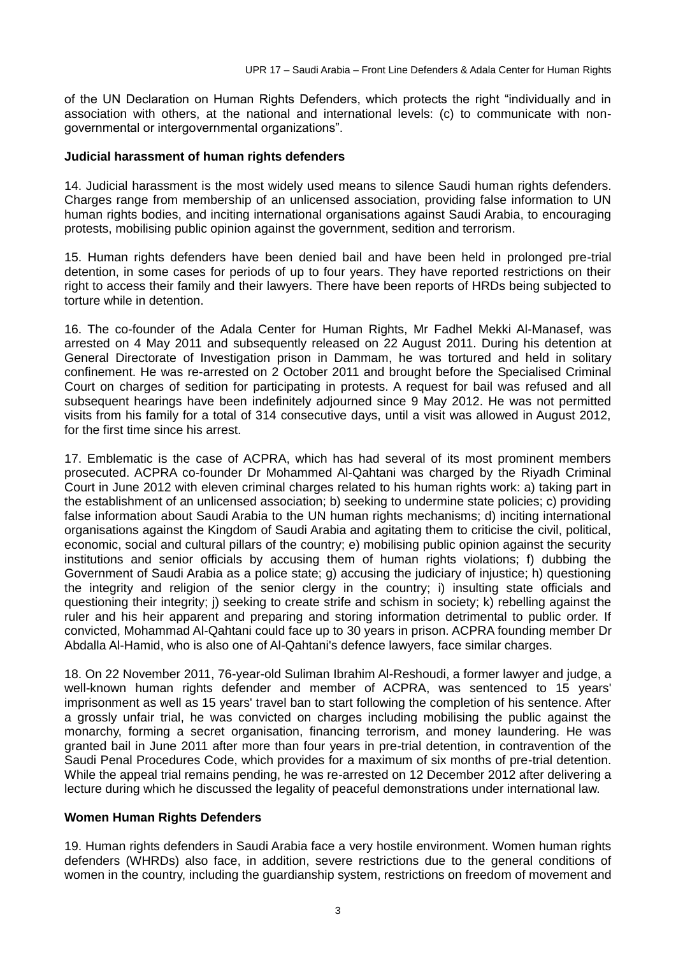of the UN Declaration on Human Rights Defenders, which protects the right "individually and in association with others, at the national and international levels: (c) to communicate with nongovernmental or intergovernmental organizations".

## **Judicial harassment of human rights defenders**

14. Judicial harassment is the most widely used means to silence Saudi human rights defenders. Charges range from membership of an unlicensed association, providing false information to UN human rights bodies, and inciting international organisations against Saudi Arabia, to encouraging protests, mobilising public opinion against the government, sedition and terrorism.

15. Human rights defenders have been denied bail and have been held in prolonged pre-trial detention, in some cases for periods of up to four years. They have reported restrictions on their right to access their family and their lawyers. There have been reports of HRDs being subjected to torture while in detention.

16. The co-founder of the Adala Center for Human Rights, Mr Fadhel Mekki Al-Manasef, was arrested on 4 May 2011 and subsequently released on 22 August 2011. During his detention at General Directorate of Investigation prison in Dammam, he was tortured and held in solitary confinement. He was re-arrested on 2 October 2011 and brought before the Specialised Criminal Court on charges of sedition for participating in protests. A request for bail was refused and all subsequent hearings have been indefinitely adjourned since 9 May 2012. He was not permitted visits from his family for a total of 314 consecutive days, until a visit was allowed in August 2012, for the first time since his arrest.

17. Emblematic is the case of ACPRA, which has had several of its most prominent members prosecuted. ACPRA co-founder Dr Mohammed Al-Qahtani was charged by the Riyadh Criminal Court in June 2012 with eleven criminal charges related to his human rights work: a) taking part in the establishment of an unlicensed association; b) seeking to undermine state policies; c) providing false information about Saudi Arabia to the UN human rights mechanisms; d) inciting international organisations against the Kingdom of Saudi Arabia and agitating them to criticise the civil, political, economic, social and cultural pillars of the country; e) mobilising public opinion against the security institutions and senior officials by accusing them of human rights violations; f) dubbing the Government of Saudi Arabia as a police state; g) accusing the judiciary of injustice; h) questioning the integrity and religion of the senior clergy in the country; i) insulting state officials and questioning their integrity; j) seeking to create strife and schism in society; k) rebelling against the ruler and his heir apparent and preparing and storing information detrimental to public order. If convicted, Mohammad Al-Qahtani could face up to 30 years in prison. ACPRA founding member Dr Abdalla Al-Hamid, who is also one of Al-Qahtani's defence lawyers, face similar charges.

18. On 22 November 2011, 76-year-old Suliman Ibrahim Al-Reshoudi, a former lawyer and judge, a well-known human rights defender and member of ACPRA, was sentenced to 15 years' imprisonment as well as 15 years' travel ban to start following the completion of his sentence. After a grossly unfair trial, he was convicted on charges including mobilising the public against the monarchy, forming a secret organisation, financing terrorism, and money laundering. He was granted bail in June 2011 after more than four years in pre-trial detention, in contravention of the Saudi Penal Procedures Code, which provides for a maximum of six months of pre-trial detention. While the appeal trial remains pending, he was re-arrested on 12 December 2012 after delivering a lecture during which he discussed the legality of peaceful demonstrations under international law.

## **Women Human Rights Defenders**

19. Human rights defenders in Saudi Arabia face a very hostile environment. Women human rights defenders (WHRDs) also face, in addition, severe restrictions due to the general conditions of women in the country, including the guardianship system, restrictions on freedom of movement and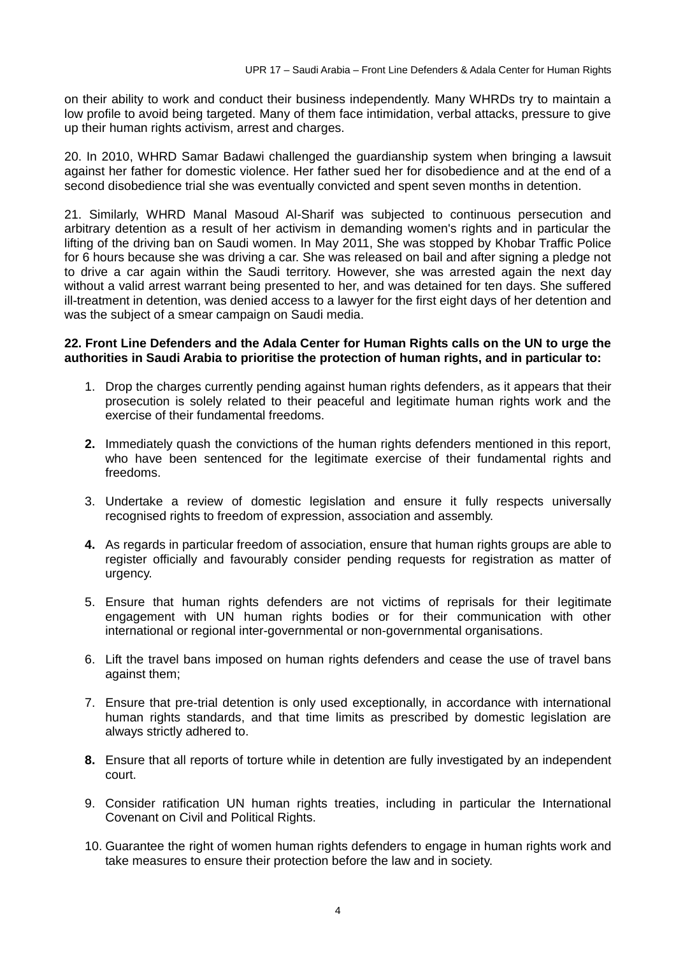on their ability to work and conduct their business independently. Many WHRDs try to maintain a low profile to avoid being targeted. Many of them face intimidation, verbal attacks, pressure to give up their human rights activism, arrest and charges.

20. In 2010, WHRD Samar Badawi challenged the guardianship system when bringing a lawsuit against her father for domestic violence. Her father sued her for disobedience and at the end of a second disobedience trial she was eventually convicted and spent seven months in detention.

21. Similarly, WHRD Manal Masoud Al-Sharif was subjected to continuous persecution and arbitrary detention as a result of her activism in demanding women's rights and in particular the lifting of the driving ban on Saudi women. In May 2011, She was stopped by Khobar Traffic Police for 6 hours because she was driving a car. She was released on bail and after signing a pledge not to drive a car again within the Saudi territory. However, she was arrested again the next day without a valid arrest warrant being presented to her, and was detained for ten days. She suffered ill-treatment in detention, was denied access to a lawyer for the first eight days of her detention and was the subject of a smear campaign on Saudi media.

#### **22. Front Line Defenders and the Adala Center for Human Rights calls on the UN to urge the authorities in Saudi Arabia to prioritise the protection of human rights, and in particular to:**

- 1. Drop the charges currently pending against human rights defenders, as it appears that their prosecution is solely related to their peaceful and legitimate human rights work and the exercise of their fundamental freedoms.
- **2.** Immediately quash the convictions of the human rights defenders mentioned in this report, who have been sentenced for the legitimate exercise of their fundamental rights and freedoms.
- 3. Undertake a review of domestic legislation and ensure it fully respects universally recognised rights to freedom of expression, association and assembly.
- **4.** As regards in particular freedom of association, ensure that human rights groups are able to register officially and favourably consider pending requests for registration as matter of urgency.
- 5. Ensure that human rights defenders are not victims of reprisals for their legitimate engagement with UN human rights bodies or for their communication with other international or regional inter-governmental or non-governmental organisations.
- 6. Lift the travel bans imposed on human rights defenders and cease the use of travel bans against them;
- 7. Ensure that pre-trial detention is only used exceptionally, in accordance with international human rights standards, and that time limits as prescribed by domestic legislation are always strictly adhered to.
- **8.** Ensure that all reports of torture while in detention are fully investigated by an independent court.
- 9. Consider ratification UN human rights treaties, including in particular the International Covenant on Civil and Political Rights.
- 10. Guarantee the right of women human rights defenders to engage in human rights work and take measures to ensure their protection before the law and in society.